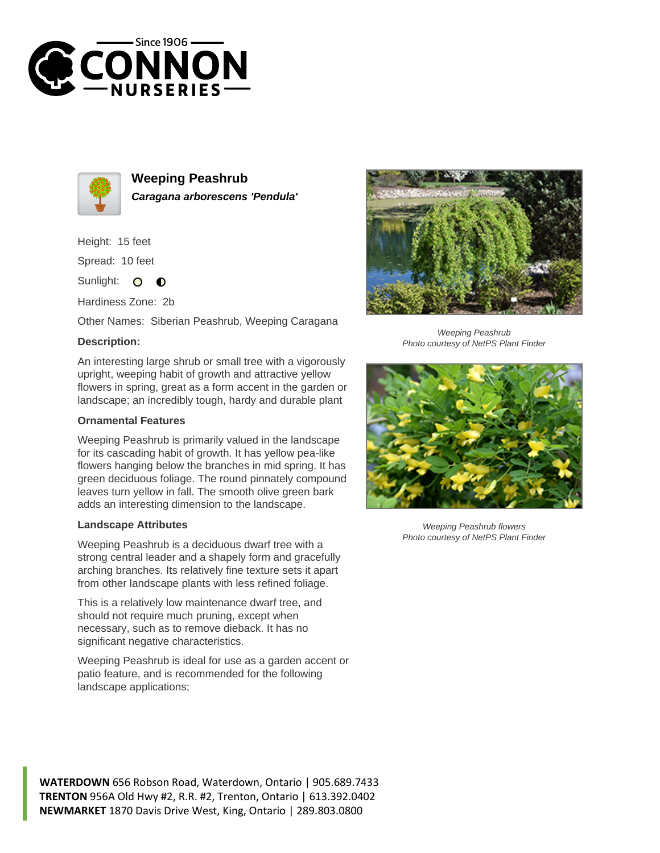



**Weeping Peashrub Caragana arborescens 'Pendula'**

Height: 15 feet

Spread: 10 feet

Sunlight:  $\Omega$  $\bullet$ 

Hardiness Zone: 2b

Other Names: Siberian Peashrub, Weeping Caragana

## **Description:**

An interesting large shrub or small tree with a vigorously upright, weeping habit of growth and attractive yellow flowers in spring, great as a form accent in the garden or landscape; an incredibly tough, hardy and durable plant

## **Ornamental Features**

Weeping Peashrub is primarily valued in the landscape for its cascading habit of growth. It has yellow pea-like flowers hanging below the branches in mid spring. It has green deciduous foliage. The round pinnately compound leaves turn yellow in fall. The smooth olive green bark adds an interesting dimension to the landscape.

## **Landscape Attributes**

Weeping Peashrub is a deciduous dwarf tree with a strong central leader and a shapely form and gracefully arching branches. Its relatively fine texture sets it apart from other landscape plants with less refined foliage.

This is a relatively low maintenance dwarf tree, and should not require much pruning, except when necessary, such as to remove dieback. It has no significant negative characteristics.

Weeping Peashrub is ideal for use as a garden accent or patio feature, and is recommended for the following landscape applications;



Weeping Peashrub Photo courtesy of NetPS Plant Finder



Weeping Peashrub flowers Photo courtesy of NetPS Plant Finder

**WATERDOWN** 656 Robson Road, Waterdown, Ontario | 905.689.7433 **TRENTON** 956A Old Hwy #2, R.R. #2, Trenton, Ontario | 613.392.0402 **NEWMARKET** 1870 Davis Drive West, King, Ontario | 289.803.0800